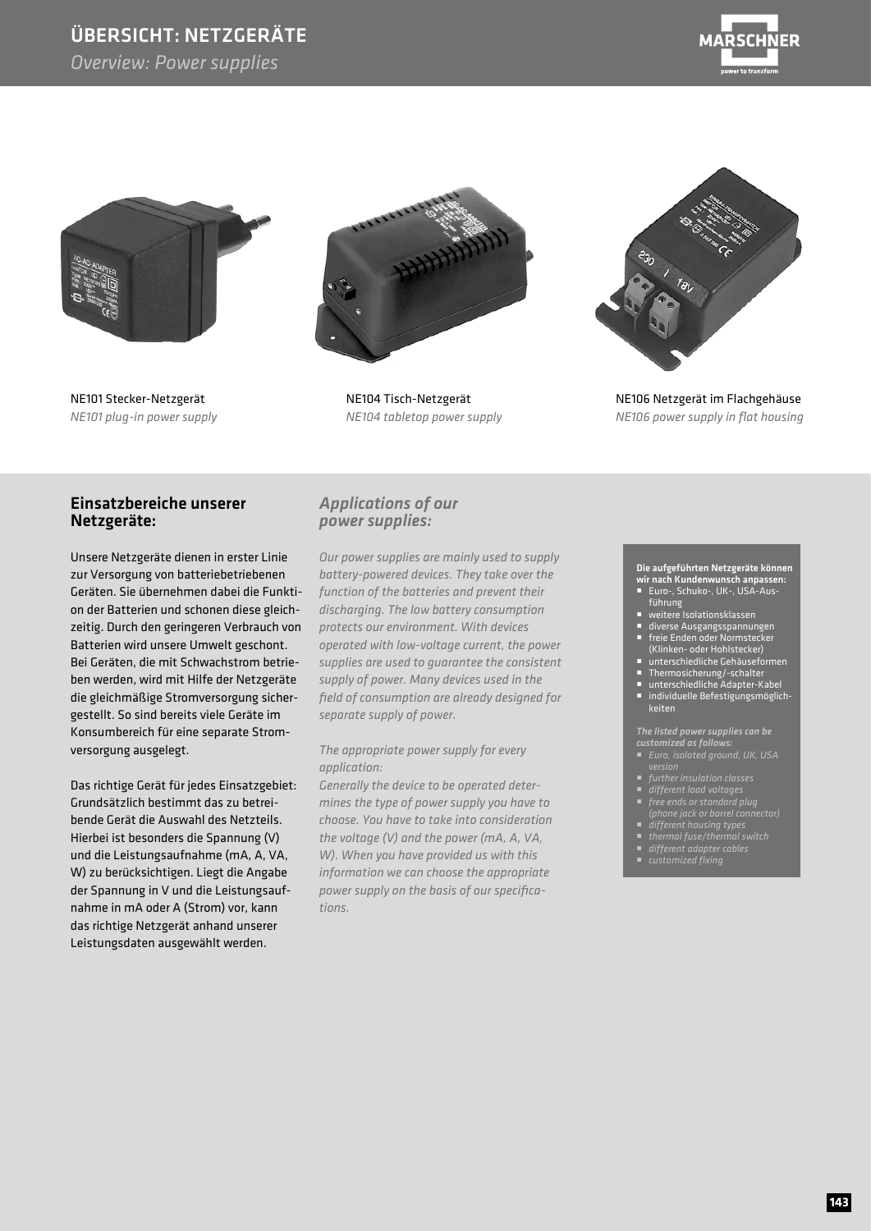### ÜBERSICHT: NETZGERÄTE

*Overview: Power supplies*





NE101 Stecker-Netzgerät *NE101 plug-in power supply*



NE104 Tisch-Netzgerät *NE104 tabletop power supply* 



NE106 Netzgerät im Flachgehäuse *NE106 power supply in flat housing*

#### Einsatzbereiche unserer Netzgeräte:

Unsere Netzgeräte dienen in erster Linie zur Versorgung von batteriebetriebenen Geräten. Sie übernehmen dabei die Funktion der Batterien und schonen diese gleichzeitig. Durch den geringeren Verbrauch von Batterien wird unsere Umwelt geschont. Bei Geräten, die mit Schwachstrom betrieben werden, wird mit Hilfe der Netzgeräte die gleichmäßige Stromversorgung sichergestellt. So sind bereits viele Geräte im Konsumbereich für eine separate Stromversorgung ausgelegt.

Das richtige Gerät für jedes Einsatzgebiet: Grundsätzlich bestimmt das zu betreibende Gerät die Auswahl des Netzteils. Hierbei ist besonders die Spannung (V) und die Leistungsaufnahme (mA, A, VA, W) zu berücksichtigen. Liegt die Angabe der Spannung in V und die Leistungsaufnahme in mA oder A (Strom) vor, kann das richtige Netzgerät anhand unserer Leistungsdaten ausgewählt werden.

#### *Applications of our power supplies:*

*Our power supplies are mainly used to supply battery-powered devices. They take over the function of the batteries and prevent their discharging. The low battery consumption protects our environment. With devices operated with low-voltage current, the power supplies are used to guarantee the consistent supply of power. Many devices used in the field of consumption are already designed for separate supply of power.*

#### *The appropriate power supply for every application:*

*Generally the device to be operated determines the type of power supply you have to choose. You have to take into consideration the voltage (V) and the power (mA, A, VA, W). When you have provided us with this information we can choose the appropriate power supply on the basis of our specifications.*

#### Die aufgeführten Netzgeräte können wir nach Kundenwunsch anpassen: Euro-, Schuko-, UK-, USA-Aus-

- - führung weitere Isolationsklassen
	-
	- diverse Ausgangsspannungen ■ freie Enden oder Normstecker
	- (Klinken- oder Hohlstecker) unterschiedliche Gehäuseformen
	- Thermosicherung/-schalter
	- unterschiedliche Adapter-Kabel
	- individuelle Befestigungsmöglich keiten

#### *The listed power supplies can be*

- *customized as follows: Euro, isolated ground, UK, USA*
- *version further insulation classes*
- 
- *free ends or standard plug (phone jack or barrel connector) different housing types*
- 
- *different adapter cables*
- 
-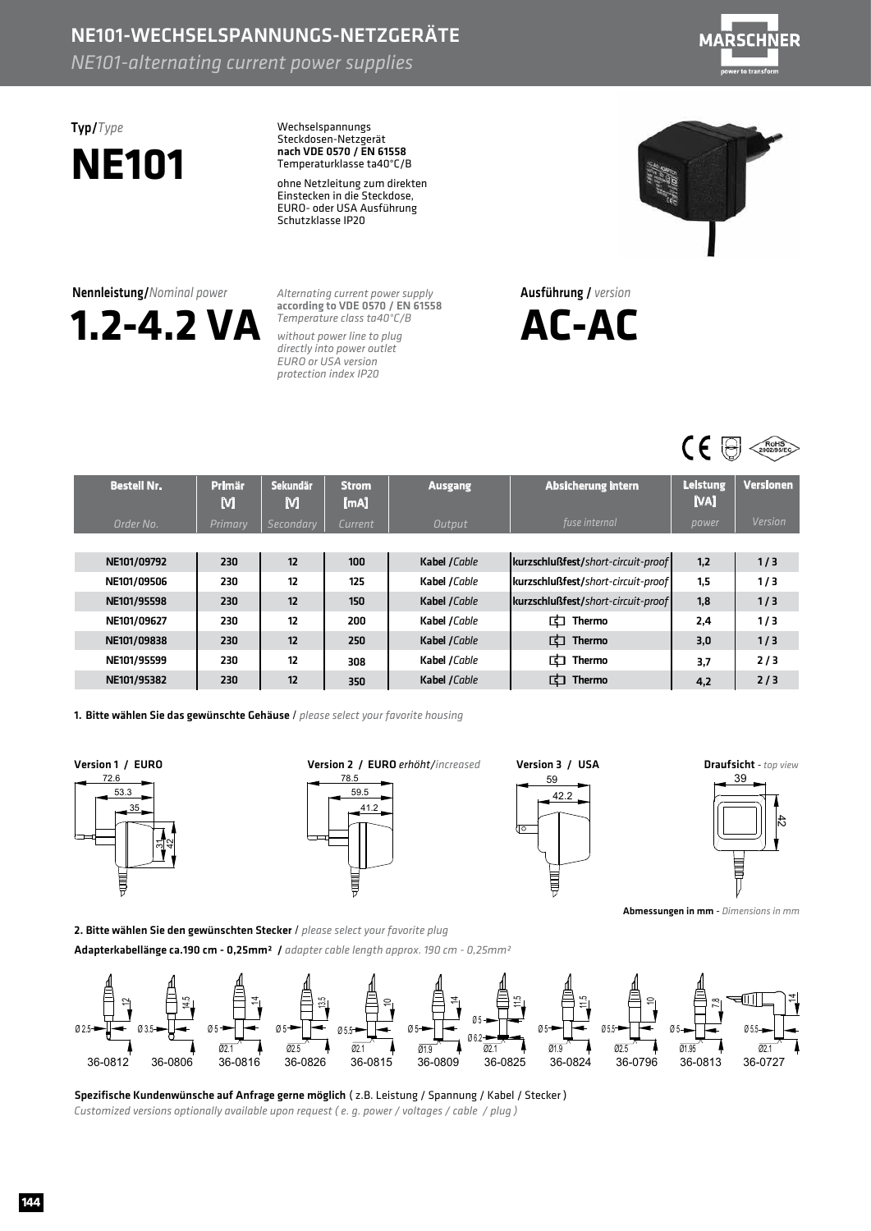### NE101-WECHSELSPANNUNGS-NETZGERÄTE

*NE101-alternating current power supplies*



## Typ/*Type* **NE101**

Wechselspannungs Steckdosen-Netzgerät Temperaturklasse ta40°C/B nach VDE 0570 / EN 61558

ohne Netzleitung zum direkten Einstecken in die Steckdose, EURO- oder USA Ausführung Schutzklasse IP20

Nennleistung/*Nominal power*



*Alternating current power supply Temperature class ta40°C/B* according to VDE 0570 / EN 61558

without power line to plug *directly into power outlet EURO or USA version protection index IP20*



Ausführung/ *version*

**AC-AC**



| <b>Bestell Nr.</b> | Primär<br>М    | <b>Sekundär</b><br>M | <b>Strom</b><br>[mA] | <b>Ausgang</b> | Absicherung intern                 | <b>Leistung</b><br>[VA] | <b>Versionen</b> |
|--------------------|----------------|----------------------|----------------------|----------------|------------------------------------|-------------------------|------------------|
| Order No.          | <b>Primary</b> | Secondary            | Current              | Output         | fuse internal                      | power                   | Version          |
|                    |                |                      |                      |                |                                    |                         |                  |
| NE101/09792        | 230            | 12                   | 100                  | Kabel /Cable   | kurzschlußfest/short-circuit-proof | 1.2                     | 1/3              |
| NE101/09506        | 230            | 12                   | 125                  | Kabel /Cable   | kurzschlußfest/short-circuit-proof | 1.5                     | 1/3              |
| NE101/95598        | 230            | 12                   | 150                  | Kabel /Cable   | kurzschlußfest/short-circuit-proof | 1,8                     | 1/3              |
| NE101/09627        | 230            | 12                   | 200                  | Kabel /Cable   | 中<br>Thermo                        | 2,4                     | 1/3              |
| NE101/09838        | 230            | 12                   | 250                  | Kabel / Cable  | 由<br>Thermo                        | 3,0                     | 1/3              |
| NE101/95599        | 230            | 12                   | 308                  | Kabel /Cable   | 由<br>Thermo                        | 3,7                     | 2/3              |
| NE101/95382        | 230            | 12                   | 350                  | Kabel /Cable   | 由<br>Thermo                        | 4,2                     | 2/3              |

1. Bitte wählen Sie das gewünschte Gehäuse / *please select vour favorite housing* 

2. Bitte wählen Sie den gewünschten Stecker / please select your favorite plug





59 42.2 Ę



**Hotel** 

 $\vec{a}$ 

Abmessungen in mm - *Dimensions in mm* 

Adapterkabellänge ca.190 cm - 0,25mm<sup>2</sup> / *adapter cable length approx.* 190 cm - 0,25mm<sup>2</sup> ਚ∭ 14.5  $\vec{a}$ 1.5∏  $\Xi$ l  $\vec{a}$  $\frac{5}{2}$  $\begin{array}{ccc} \begin{array}{ccc} \mathbf{0} & \mathbf{0} \\ \mathbf{0} & \mathbf{0} \end{array} \\ \hline \hline \mathbf{0} & \mathbf{0} \end{array} \mathbf{0} \mathbf{0} \mathbf{0} \mathbf{0} \mathbf{0} \mathbf{0} \mathbf{0} \mathbf{0} \mathbf{0} \mathbf{0} \mathbf{0} \mathbf{0} \mathbf{0} \mathbf{0} \mathbf{0} \mathbf{0} \mathbf{0} \mathbf{0} \mathbf{0} \mathbf{0} \mathbf{0} \mathbf{0} \mathbf{0} \mathbf{0} \mathbf{0$  $\frac{8}{11}$  $\begin{array}{c} \n\begin{array}{ccc}\n\bullet & \bullet \\
\hline\n\end{array} & \begin{array}{ccc}\n\bullet & \bullet \\
\hline\n\end{array} & \begin{array}{ccc}\n\bullet & \bullet \\
\bullet & \bullet \\
\hline\n\end{array} & \begin{array}{ccc}\n\bullet & \bullet \\
\bullet & \bullet \\
\end{array} & \begin{array}{ccc}\n\bullet & \bullet \\
\bullet & \bullet \\
\end{array} & \begin{array}{ccc}\n\bullet & \bullet \\
\bullet & \bullet \\
\end{array} & \begin{array}{ccc}\n\bullet & \bullet \\
\bullet & \bullet \\
\end{array} & \begin{array}{ccc}\n\bullet & \bullet \\
\bullet & \bullet \\
\end{array} & \begin{$ ا⊟ Ø5  $Q5$  $0.5.5$ Ø5 Ø5 Ø5  $\sqrt{95.5}$   $\sqrt{95}$ Ø5.5  $Q_6$  $\overline{001}$  $\overline{02.5}$ Ø1.9  $\overline{021}$  $\overline{021}$  $\alpha$ <sub>2.1</sub>  $\overline{OAQ}$ 36-0812 36-0806 36-0816 36-0826 36-0815 36-0809 36-0825 36-0824 36-0796 36-0813 36-0727

Spezifische Kundenwünsche auf Anfrage gerne möglich (z.B. Leistung / Spannung / Kabel / Stecker) *Customized versions optionally available upon request (e.g. power / voltages / cable / plug)*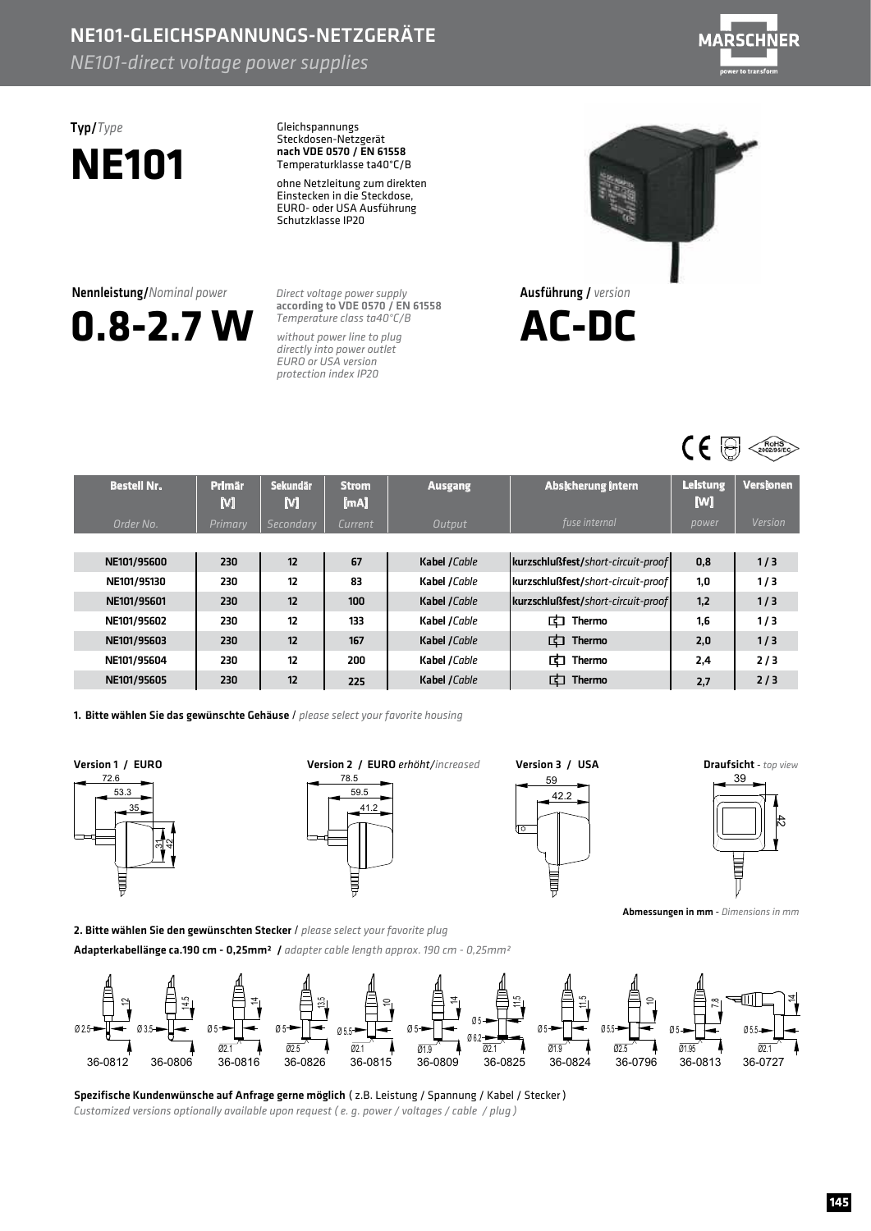## NE101-GLEICHSPANNUNGS-NETZGERÄTE

*NE101-direct voltage power supplies*



# **NE101**

**0.8-2.7W**

Nennleistung/*Nominal power*

Typ/*Type* Gleichspannungs Steckdosen-Netzgerät Temperaturklasse ta40°C/B nach VDE 0570 / EN 61558

> ohne Netzleitung zum direkten Einstecken in die Steckdose, EURO- oder USA Ausführung Schutzklasse IP20

*Direct voltage power supply* according to VDE 0570 / EN 61558 *Temperature class ta40°C/B*

*without power line to plug directly into power outlet EURO or USA version protection index IP20*





| <b>Bestell Nr.</b> | Primär<br>м | <b>Sekundär</b><br>M | <b>Strom</b><br>[mA] | <b>Ausgang</b> | <b>Absicherung intern</b>          | <b>Leistung</b><br>M | <b>Versionen</b> |
|--------------------|-------------|----------------------|----------------------|----------------|------------------------------------|----------------------|------------------|
| Order No.          | Primary     | Secondary            | <b>Current</b>       | Output         | fuse internal                      | power                | Version          |
|                    |             |                      |                      |                |                                    |                      |                  |
| NE101/95600        | 230         | 12                   | 67                   | Kabel /Cable   | kurzschlußfest/short-circuit-proof | 0,8                  | 1/3              |
| NE101/95130        | 230         | 12                   | 83                   | Kabel /Cable   | kurzschlußfest/short-circuit-proof | 1.0                  | 1/3              |
| NE101/95601        | 230         | 12                   | 100                  | Kabel /Cable   | kurzschlußfest/short-circuit-proof | 1,2                  | 1/3              |
| NE101/95602        | 230         | 12                   | 133                  | Kabel /Cable   | 由<br>Thermo                        | 1,6                  | 1/3              |
| NE101/95603        | 230         | 12                   | 167                  | Kabel /Cable   | 由<br><b>Thermo</b>                 | 2,0                  | 1/3              |
| NE101/95604        | 230         | 12                   | 200                  | Kabel /Cable   | 由<br>Thermo                        | 2,4                  | 2/3              |
| NE101/95605        | 230         | 12                   | 225                  | Kabel /Cable   | 由<br>Thermo                        | 2,7                  | 2/3              |

1. BittewählenSiedasgewünschteGehäuse / *please select your favorite housing*

2.BittewählenSiedengewünschtenStecker / *please select your favorite plug*

Adapterkabellängeca.190cm-0,25mm²/ *adapter cable length approx. 190 cm -0,25mm²*









Abmessungen in mm - Dimensions in mm

€Œ  $\vec{a}$ 1.5⊾  $\Xi$ l 1≝  $\vec{a}$ 13.5 군 .  $\begin{array}{ccc} \mathbf{a} & \mathbf{b} \\ \hline \mathbf{b} & \mathbf{c} \\ \hline \hline \mathbf{a} & \mathbf{b} \end{array}$   $\begin{array}{ccc} \mathbf{a} & \mathbf{b} \\ \hline \mathbf{b} & \mathbf{b} \end{array}$  $\frac{8}{2}$  $\begin{array}{c} \n\begin{array}{ccc}\n\bullet & \bullet \\
\hline\n\end{array} & \mathfrak{p}_{3.5}\n\end{array}$ ا⊐ Ø5  $Q5$  $\emptyset$ Ø5 Ø5 Ø5  $\sqrt{0.5}$   $\rightarrow$   $\sqrt{0.5}$ Ø5.5  $Q6$  $\overline{02.5}$  $\overline{021}$  $\overline{0021}$  $\overline{021}$  $\frac{61.9}{36 - 0809}$  $\sqrt{021}$  $\overline{OA}$ 36-0812 36-0806 36-0816 36-0826 36-0815 36-0809 36-0825 36-0824 36-0796 36-0813 36-0727

Spezifische Kundenwünsche auf Anfrage gerne möglich (z.B. Leistung / Spannung / Kabel / Stecker) *Customized versions optionally available upon request ( e. g. power / voltages / cable / plug )*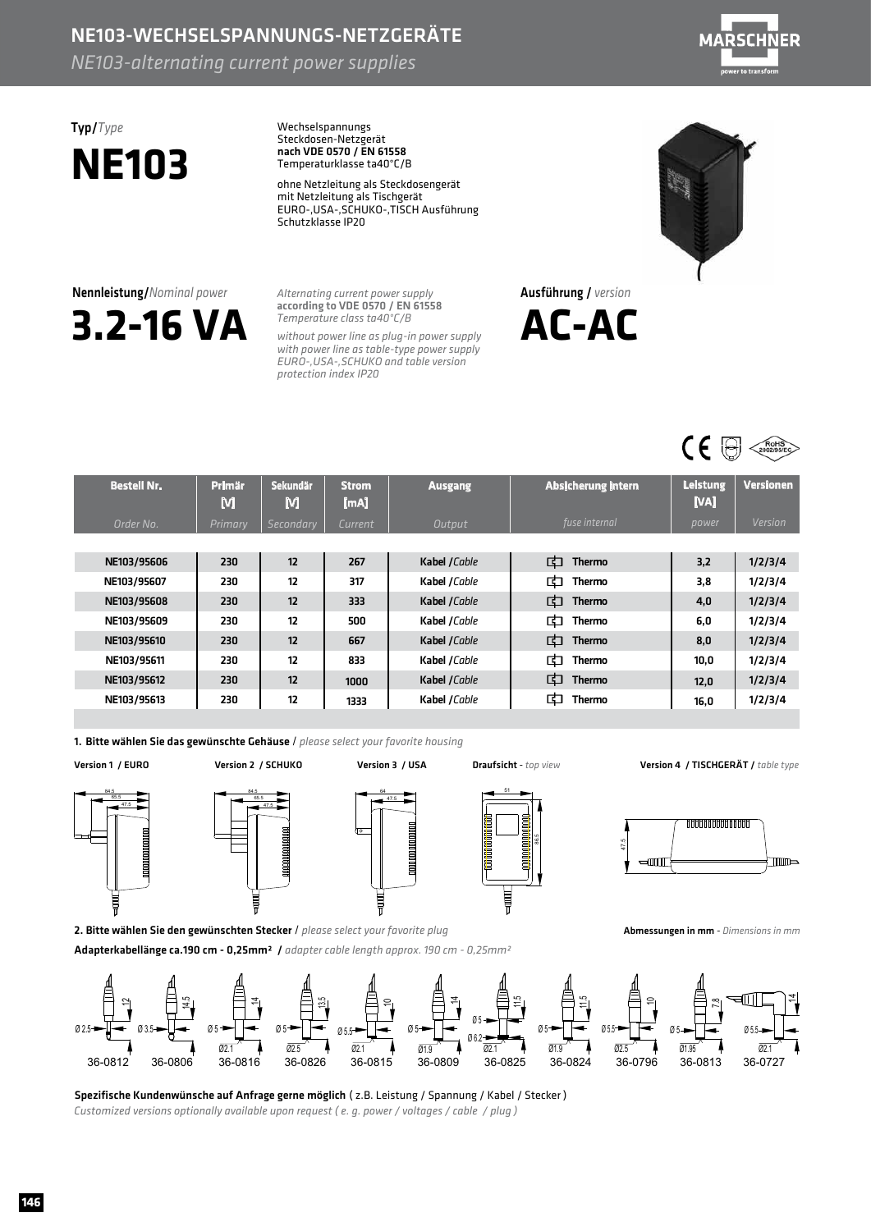## NE103-WECHSELSPANNUNGS-NETZGERÄTE

*NE103-alternating current power supplies* 



# **NE103**

Typ/*Type* Wechselspannungs Steckdosen-Netzgerät Temperaturklasse ta40°C/B nach VDE 0570 / EN 61558

> ohne Netzleitung als Steckdosengerät mit Netzleitung als Tischgerät Schutzklasse IP20 EURO-,USA-,SCHUKO-,TISCHAusführung

**3.2-16VA** Nennleistung/*Nominalpower*

*Alternating current power supply Temperatureclassta40°C/B* according to VDE 0570 / EN 61558

without power line as plug-in power supply with power line as table-type power supply *protectionindexIP20 EURO-,USA-,SCHUKOandtableversion*



Ausführung/ *version* **AC-AC**



| <b>Bestell Nr.</b> | <b>Primär</b><br>М | <b>Sekundär</b><br>M | <b>Strom</b><br>[mA] | <b>Ausgang</b> | <b>Absicherung intern</b> | <b>Leistung</b><br>[VA] | <b>Versionen</b> |
|--------------------|--------------------|----------------------|----------------------|----------------|---------------------------|-------------------------|------------------|
| Order No.          | Primary            | Secondary            | Current              | Output         | fuse internal             | power                   | Version          |
|                    |                    |                      |                      |                |                           |                         |                  |
| NE103/95606        | 230                | 12                   | 267                  | Kabel /Cable   | 中<br>Thermo               | 3,2                     | 1/2/3/4          |
| NE103/95607        | 230                | 12                   | 317                  | Kabel /Cable   | 甴<br><b>Thermo</b>        | 3,8                     | 1/2/3/4          |
| NE103/95608        | 230                | 12                   | 333                  | Kabel /Cable   | 中<br>Thermo               | 4,0                     | 1/2/3/4          |
| NE103/95609        | 230                | 12                   | 500                  | Kabel /Cable   | 中<br><b>Thermo</b>        | 6,0                     | 1/2/3/4          |
| NE103/95610        | 230                | 12                   | 667                  | Kabel /Cable   | 中<br><b>Thermo</b>        | 8,0                     | 1/2/3/4          |
| NE103/95611        | 230                | 12                   | 833                  | Kabel /Cable   | 由<br><b>Thermo</b>        | 10.0                    | 1/2/3/4          |
| NE103/95612        | 230                | 12                   | 1000                 | Kabel / Cable  | 中<br><b>Thermo</b>        | 12.0                    | 1/2/3/4          |
| NE103/95613        | 230                | 12                   | 1333                 | Kabel /Cable   | 中<br><b>Thermo</b>        | 16,0                    | 1/2/3/4          |

1. Bitte wählen Sie das gewünschte Gehäuse / please select your favorite housing





2. Bitte wählen Sie den gewünschten Stecker / please select your favorite plug



Version1/EURO Version2/SCHUKO Version3/USA Draufsicht - *topview*

86.5

Į

Version 4 / TISCHGERÄT / table type



Abmessungen in mm - *Dimensions in mm* 



Spezifische Kundenwünsche auf Anfrage gerne möglich (z.B. Leistung / Spannung / Kabel / Stecker) Customized versions optionally available upon request (e. g. power / voltages / cable / plug)

Adapterkabellänge ca.190 cm - 0,25mm<sup>2</sup> / *adapter cable length approx.190 cm - 0,25mm<sup>2</sup>*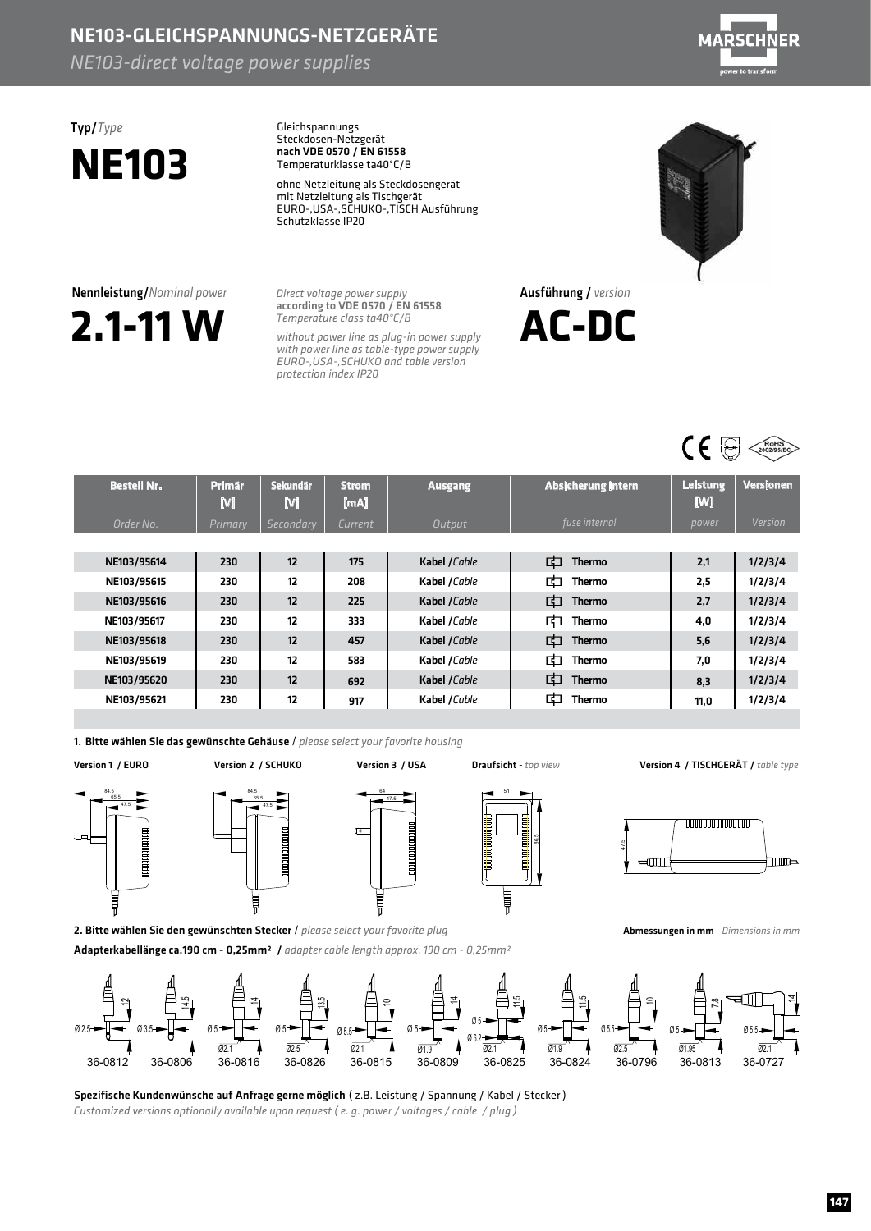### NE103-GLEICHSPANNUNGS-NETZGERÄTE

*NE103-direct voltage power supplies* 



# **NE103**

Typ/*Type* Gleichspannungs Steckdosen-Netzgerät Temperaturklasse ta40°C/B nach VDE 0570 / EN 61558

> ohne Netzleitung als Steckdosengerät mit Netzleitung als Tischgerät Schutzklasse IP20 EURO-,USA-,SCHUKO-,TISCHAusführung



**Direct voltage power supply** according to VDE 0570 / EN 61558 *Temperatureclassta40°C/B*

without power line as plug-in power supply with power line as table-type power supply *protectionindexIP20 EURO-,USA-,SCHUKOandtableversion*





| <b>Bestell Nr.</b> | <b>Primär</b><br>М | Sekundär<br>M | <b>Strom</b><br>[mA] | <b>Ausgang</b> | <b>Absicherung intern</b> | <b>Leistung</b><br>M | <b>Versionen</b> |
|--------------------|--------------------|---------------|----------------------|----------------|---------------------------|----------------------|------------------|
| Order No.          | Primary            | Secondary     | Current              | Output         | fuse internal             | power                | Version          |
|                    |                    |               |                      |                |                           |                      |                  |
| NE103/95614        | 230                | 12            | 175                  | Kabel /Cable   | 中<br>Thermo               | 2,1                  | 1/2/3/4          |
| NE103/95615        | 230                | 12            | 208                  | Kabel /Cable   | 甴<br>Thermo               | 2,5                  | 1/2/3/4          |
| NE103/95616        | 230                | 12            | 225                  | Kabel /Cable   | 中<br>Thermo               | 2,7                  | 1/2/3/4          |
| NE103/95617        | 230                | 12            | 333                  | Kabel /Cable   | 中<br>Thermo               | 4,0                  | 1/2/3/4          |
| NE103/95618        | 230                | 12            | 457                  | Kabel /Cable   | 中<br><b>Thermo</b>        | 5,6                  | 1/2/3/4          |
| NE103/95619        | 230                | 12            | 583                  | Kabel /Cable   | 中<br><b>Thermo</b>        | 7,0                  | 1/2/3/4          |
| NE103/95620        | 230                | 12            | 692                  | Kabel /Cable   | 中<br><b>Thermo</b>        | 8.3                  | 1/2/3/4          |
| NE103/95621        | 230                | 12            | 917                  | Kabel /Cable   | 甴<br>Thermo               | 11,0                 | 1/2/3/4          |

1. Bitte wählen Sie das gewünschte Gehäuse / please select your favorite housing

Version1/EURO Version2/SCHUKO Version3/USA Draufsicht - *topview*









Ausführung/ *version*

**AC-DC**

Version4/TISCHGERÄT/ *tabletype*



Abmessungen in mm - *Dimensions in mm* 



Spezifische Kundenwünsche auf Anfrage gerne möglich (z.B. Leistung / Spannung / Kabel / Stecker) *Customized versions optionally available upon request (e.g. power / voltages / cable / plug)* 

Adapterkabellänge ca.190 cm - 0,25mm<sup>2</sup> / *adapter cable length approx.190 cm - 0,25mm<sup>2</sup>*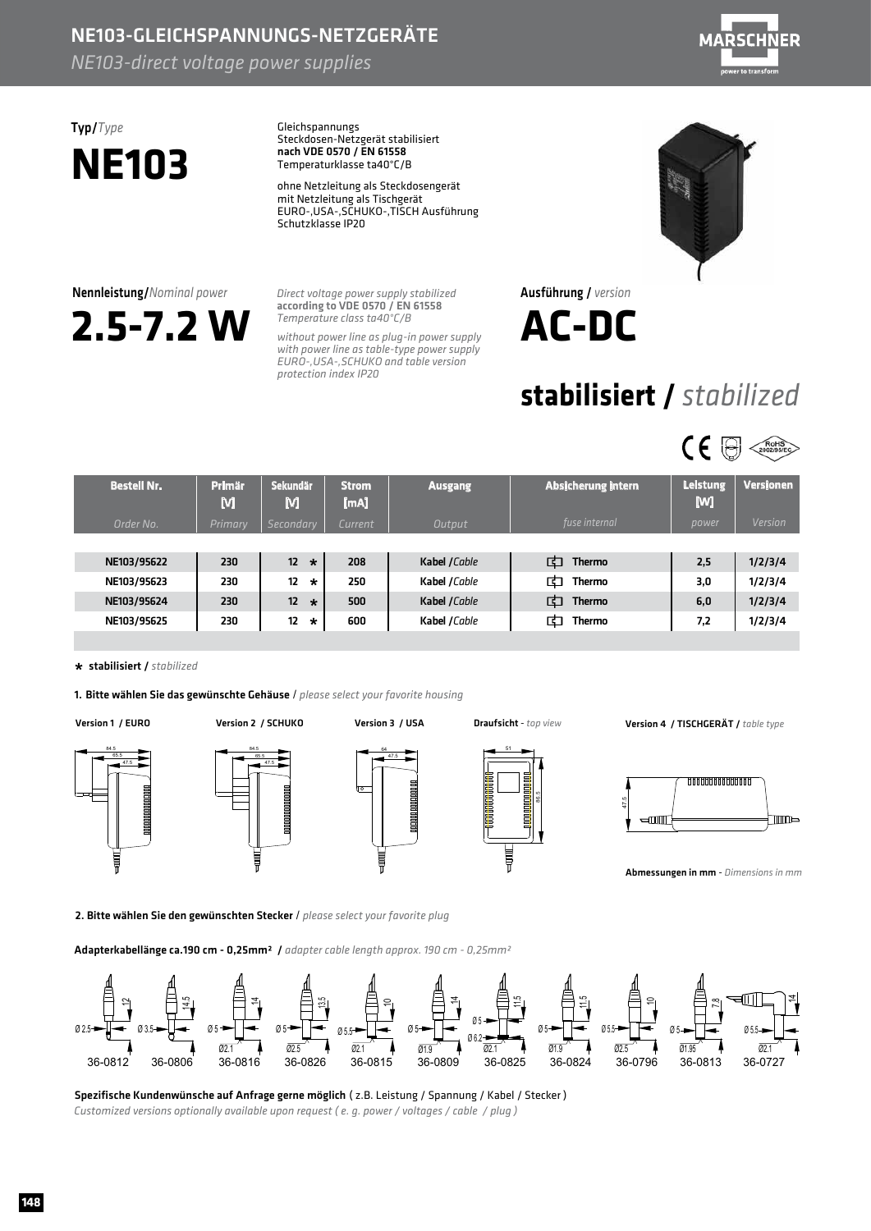## NE103-GLEICHSPANNUNGS-NETZGERÄTE

*NE103-direct voltage power supplies* 



# **NE103**

Typ/*Type* Gleichspannungs Steckdosen-Netzgerät stabilisiert Temperaturklasse ta40°C/B nach VDE 0570 / EN 61558

> ohne Netzleitung als Steckdosengerät mit Netzleitung als Tischgerät EURO-,USA-,SCHUKO-,TISCHAusführung Schutzklasse IP20

**Direct voltage power supply stabilized** according to VDE 0570 / EN 61558 *Temperatureclassta40°C/B*

*protectionindexIP20*

without power line as plug-in power supply with power line as table-type power supply

*EURO-,USA-,SCHUKOandtableversion*

Ausführung/ *version* **AC-DC**

## **stabilisiert/** *stabilized*



| <b>Bestell Nr.</b> | <b>Primär</b><br>M | Sekundär<br>M              | <b>Strom</b><br>[mA] | <b>Ausgang</b> | Absicherung intern | <b>Leistung</b><br>[W] | <b>Versionen</b> |
|--------------------|--------------------|----------------------------|----------------------|----------------|--------------------|------------------------|------------------|
| Order No.          | Primary            | Secondary                  | Current              | Output         | fuse internal      | power                  | Version          |
|                    |                    |                            |                      |                |                    |                        |                  |
| NE103/95622        | 230                | 12 <sup>2</sup><br>$\star$ | 208                  | Kabel /Cable   | 中<br>Thermo        | 2,5                    | 1/2/3/4          |
| NE103/95623        | 230                | 12<br>$\star$              | 250                  | Kabel /Cable   | 甴<br>Thermo        | 3,0                    | 1/2/3/4          |
| NE103/95624        | 230                | 12<br>$\star$              | 500                  | Kabel /Cable   | 中<br><b>Thermo</b> | 6,0                    | 1/2/3/4          |
| NE103/95625        | 230                | 12<br>$\star$              | 600                  | Kabel /Cable   | 巾<br><b>Thermo</b> | 7,2                    | 1/2/3/4          |

64 51

#### stabilisiert/ *stabilized* **\***

1. Bitte wählen Sie das gewünschte Gehäuse / please select your favorite housing

47.5 65.5 84.5

84.5

47.5 65.5

47.5

ţ

86.5

Version1/EURO Version2/SCHUKO Version3/USA Draufsicht - *topview* Version4/TISCHGERÄT/ *tabletype*



Abmessungen in mm - *Dimensions in mm* 

2. Bitte wählen Sie den gewünschten Stecker / please select your favorite plug

Adapterkabellänge ca.190 cm - 0,25mm<sup>2</sup> / *adapter cable length approx.190 cm - 0,25mm<sup>2</sup>* 



Spezifische Kundenwünsche auf Anfrage gerne möglich (z.B. Leistung / Spannung / Kabel / Stecker) Customized versions optionally available upon request (e. g. power / voltages / cable / plug)



**148**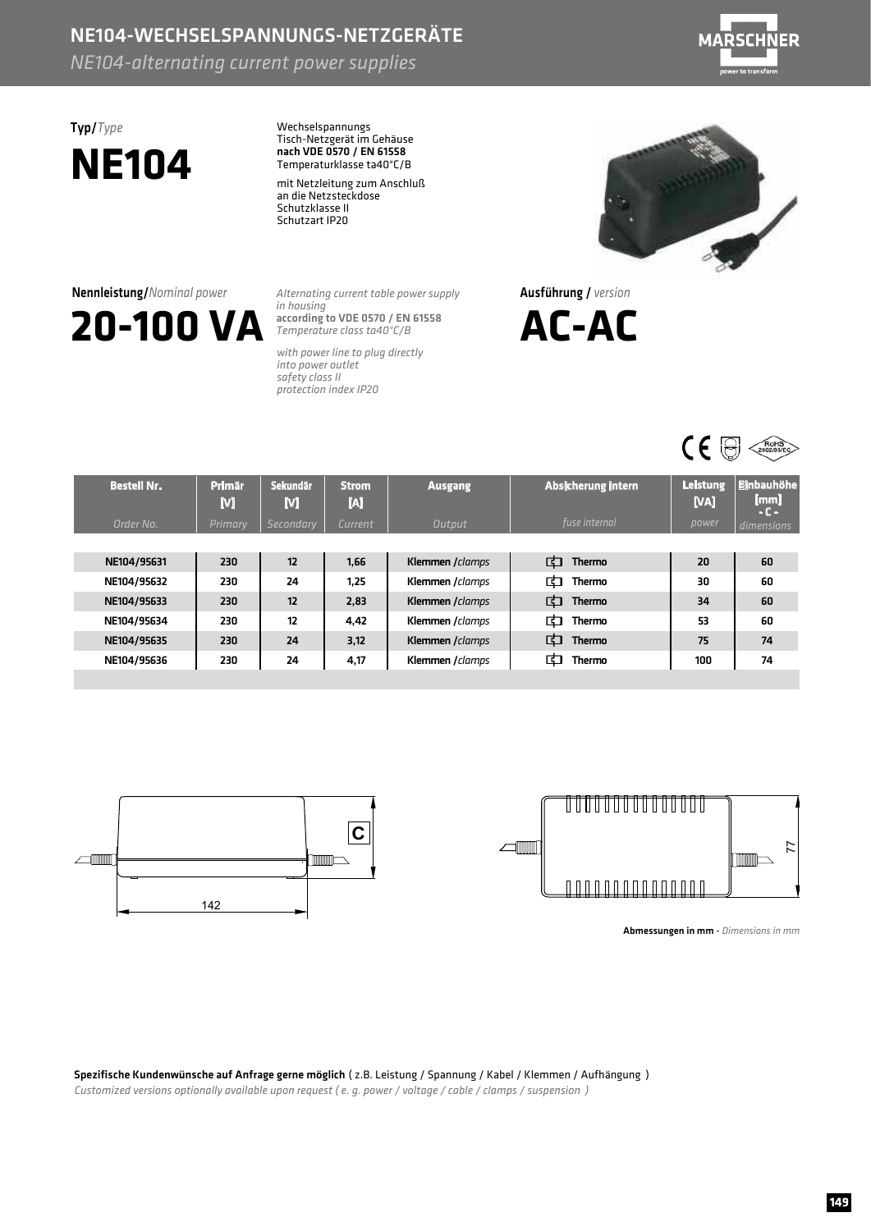### NE104-WECHSELSPANNUNGS-NETZGERÄTE

*NE104-alternating
current
power
supplies*



# **NE104**

Typ/*Type* Wechselspannungs Tisch-Netzgerät im Gehäuse Temperaturklasse ta40°C/B nach VDE 0570 / EN 61558

> mit Netzleitung zum Anschluß an die Netzsteckdose Schutzklasse II Schutzart IP20



*Alternating
current
table
power
supply in
housing Temperature
class
ta40°C/B* according to VDE 0570 / EN 61558

*with
power
line
to
plug
directly into
power
outlet safety
class
II protection
index
IP20*



Ausführung/ *version*





| <b>Bestell Nr.</b> | <b>Primär</b><br>М | Sekundär<br>M | <b>Strom</b><br>M | <b>Ausgang</b>   | Absicherung intern | <b>Leistung</b><br>[VA] | <b>Einbauhöhe</b><br>[mm]<br>$-C -$ |
|--------------------|--------------------|---------------|-------------------|------------------|--------------------|-------------------------|-------------------------------------|
| Order No.          | Primary            | Secondary     | Current           | Output           | fuse internal      | power                   | dimensions                          |
|                    |                    |               |                   |                  |                    |                         |                                     |
| NE104/95631        | 230                | 12            | 1.66              | Klemmen / clamps | む<br><b>Thermo</b> | 20                      | 60                                  |
| NE104/95632        | 230                | 24            | 1.25              | Klemmen / clamps | 中<br><b>Thermo</b> | 30                      | 60                                  |
| NE104/95633        | 230                | 12            | 2.83              | Klemmen / clamps | 中<br><b>Thermo</b> | 34                      | 60                                  |
| NE104/95634        | 230                | 12            | 4,42              | Klemmen / clamps | む<br>Thermo        | 53                      | 60                                  |
| NE104/95635        | 230                | 24            | 3.12              | Klemmen / clamps | 中<br><b>Thermo</b> | 75                      | 74                                  |
| NE104/95636        | 230                | 24            | 4,17              | Klemmen / clamps | 中<br>Thermo        | 100                     | 74                                  |
|                    |                    |               |                   |                  |                    |                         |                                     |





Abmessungen in mm - Dimensions in mm

Spezifische Kundenwünsche auf Anfrage gerne möglich (z.B. Leistung / Spannung / Kabel / Klemmen / Aufhängung) Customized versions optionally available upon request (e. g. power / voltage / cable / clamps / suspension )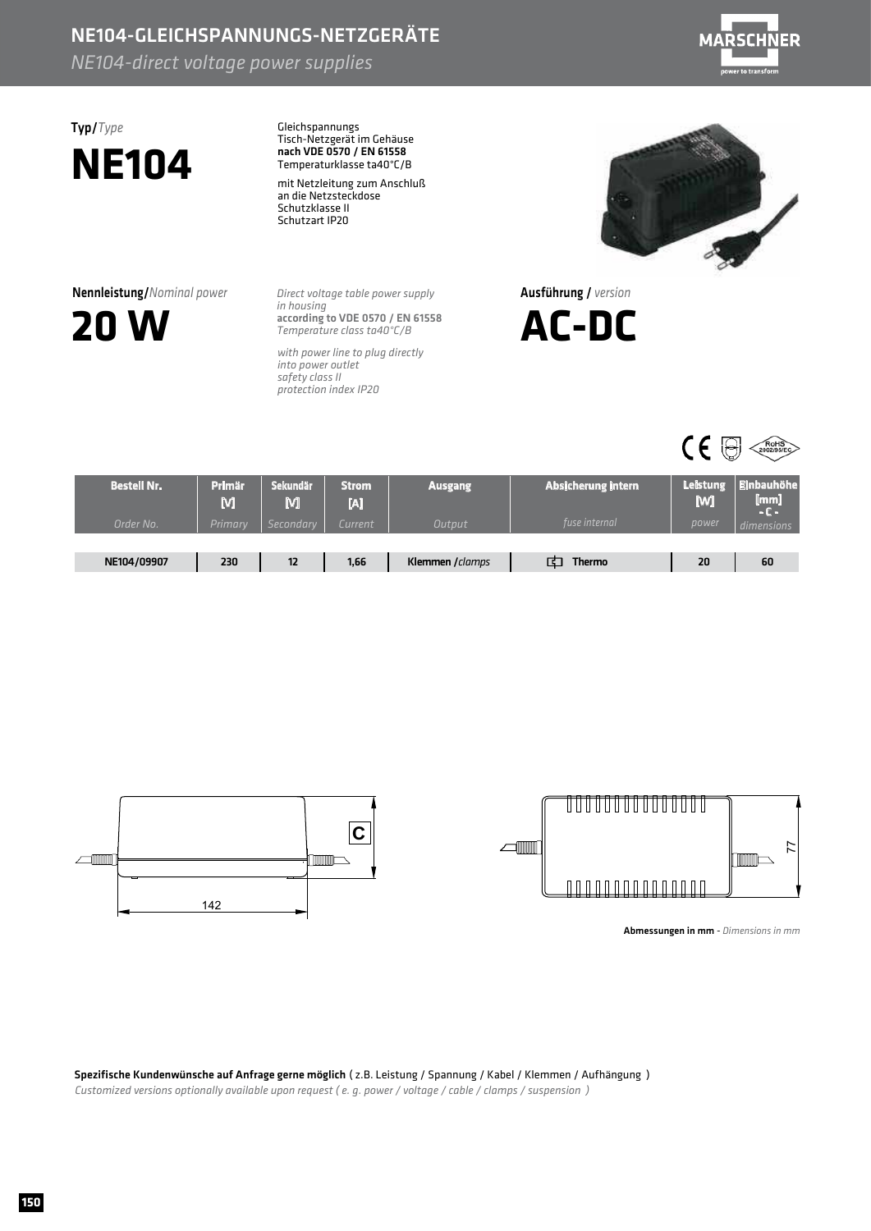## NE104-GLEICHSPANNUNGS-NETZGERÄTE

*NE104-direct voltage power supplies* 



## Typ/*Type* **NE104**

Gleichspannungs Tisch-NetzgerätimGehäuse Temperaturklasse ta40°C/B nach VDE 0570 / EN 61558

mit Netzleitung zum Anschluß an die Netzsteckdose Schutzklasse II Schutzart IP20

**Nennleistung/***Nominal power* 



**Direct voltage table power supply** *inhousing Temperatureclassta40°C/B* according to VDE 0570 / EN 61558

with power line to plug directly *into power outlet safetyclassII protectionindexIP20*



Ausführung/ *version*





| <b>Bestell Nr.</b> | <b>Primär</b><br>M | <b>Sekundär</b><br>M | Strom<br>IJ | <b>Ausgang</b>  | Absicherung intern | <b>Leistung</b><br><b>M</b> | <b>Einbauhöhe</b><br>$\lfloor \mathsf{mm} \rfloor$<br>- C - |
|--------------------|--------------------|----------------------|-------------|-----------------|--------------------|-----------------------------|-------------------------------------------------------------|
| Order No.          | Primary            | Secondary            | Current     | <b>Output</b>   | fuse internal      | power                       | dimensions                                                  |
|                    |                    |                      |             |                 |                    |                             |                                                             |
| NE104/09907        | 230                | 12                   | 1,66        | Klemmen /clamps | <b>Thermo</b>      | 20                          | 60                                                          |



| --<br>--<br>j<br>j<br>−<br>−                         |  |
|------------------------------------------------------|--|
|                                                      |  |
| ı<br>-<br>-<br>--<br>┲<br>−<br>-<br>ı<br>−<br>i<br>- |  |

Abmessungen in mm - *Dimensions in mm* 

Spezifische Kundenwünsche auf Anfrage gerne möglich (z.B. Leistung / Spannung / Kabel / Klemmen / Aufhängung ) *Customized versions optionally available upon request (e.g. power / voltage / cable / clamps / suspension* )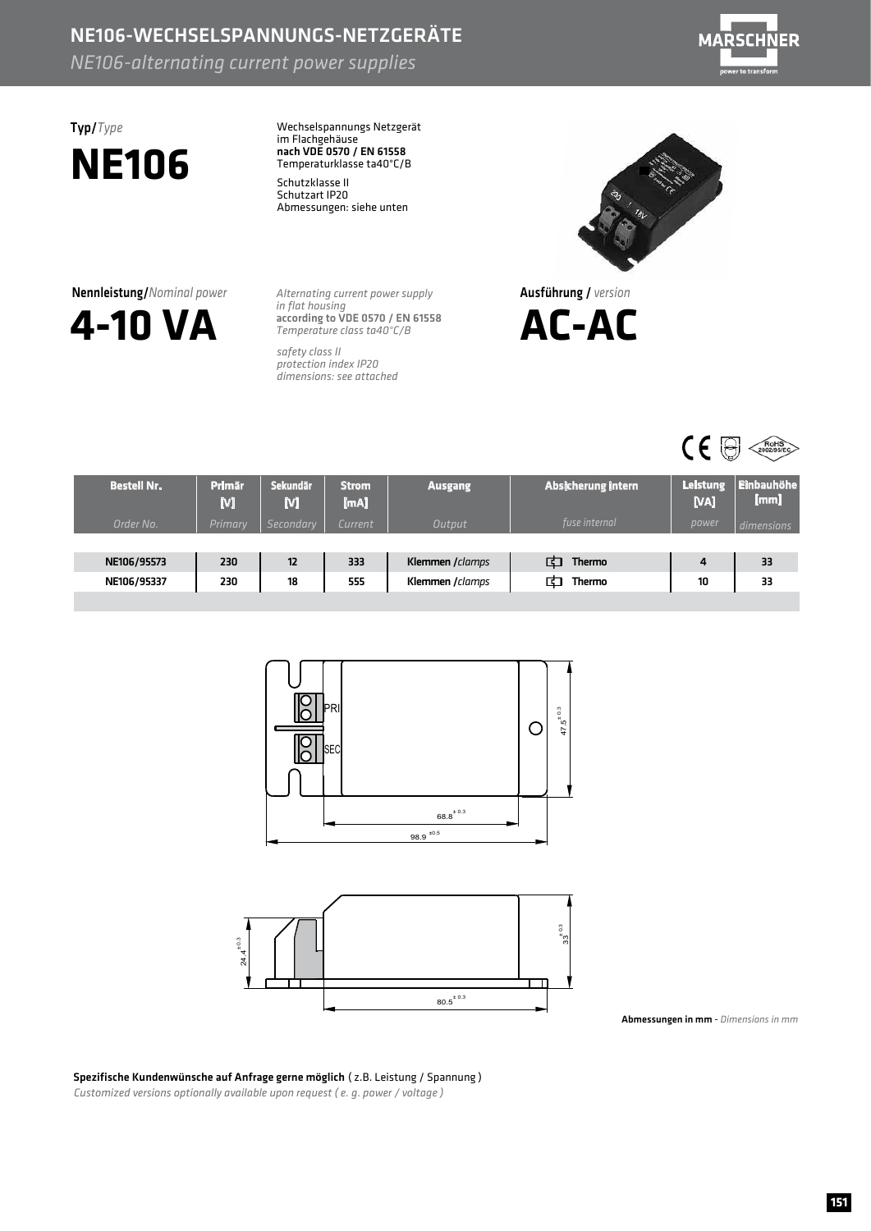### NE106-WECHSELSPANNUNGS-NETZGERÄTE *NE106-alternating
current
power
supplies*



## Typ/*Type* **NE106**

Wechselspannungs Netzgerät im Flachgehäuse<br>nach VDE 0570 / EN 61558 Temperaturklasse ta40°C/B

Schutzklasse II Schutzart IP20 Abmessungen: siehe unten

Nennleistung/*Nominal
power*



*Alternating
current
power
supply in
flat
housing Temperature
class
ta40°C/B* according to VDE 0570 / EN 61558

*safety
class
II protection
index
IP20 dimensions:
see
attached*



Ausführung/ *version*





| <b>Bestell Nr.</b> | <b>Primär</b><br>M | <b>Sekundär</b><br>M | <b>Strom</b><br>[mA] | <b>Ausgang</b>   | Absicherung intern | <b>Leistung</b><br>[VA] | <b>Einbauhöhe</b><br>[mm] |
|--------------------|--------------------|----------------------|----------------------|------------------|--------------------|-------------------------|---------------------------|
| Order No.          | <b>Primary</b>     | <b>Secondary</b>     | Current              | Output           | fuse internal      | power                   | dimensions                |
|                    |                    |                      |                      |                  |                    |                         |                           |
| NE106/95573        | 230                | 12                   | 333                  | Klemmen / clamps | <b>Thermo</b><br>F | 4                       | 33                        |
| NE106/95337        | 230                | 18                   | 555                  | Klemmen / clamps | <b>Thermo</b>      | 10                      | 33                        |
|                    |                    |                      |                      |                  |                    |                         |                           |



Abmessungen in mm - *Dimensions in mm* 

Spezifische Kundenwünsche auf Anfrage gerne möglich (z.B. Leistung / Spannung) Customized versions optionally available upon request (e. g. power / voltage)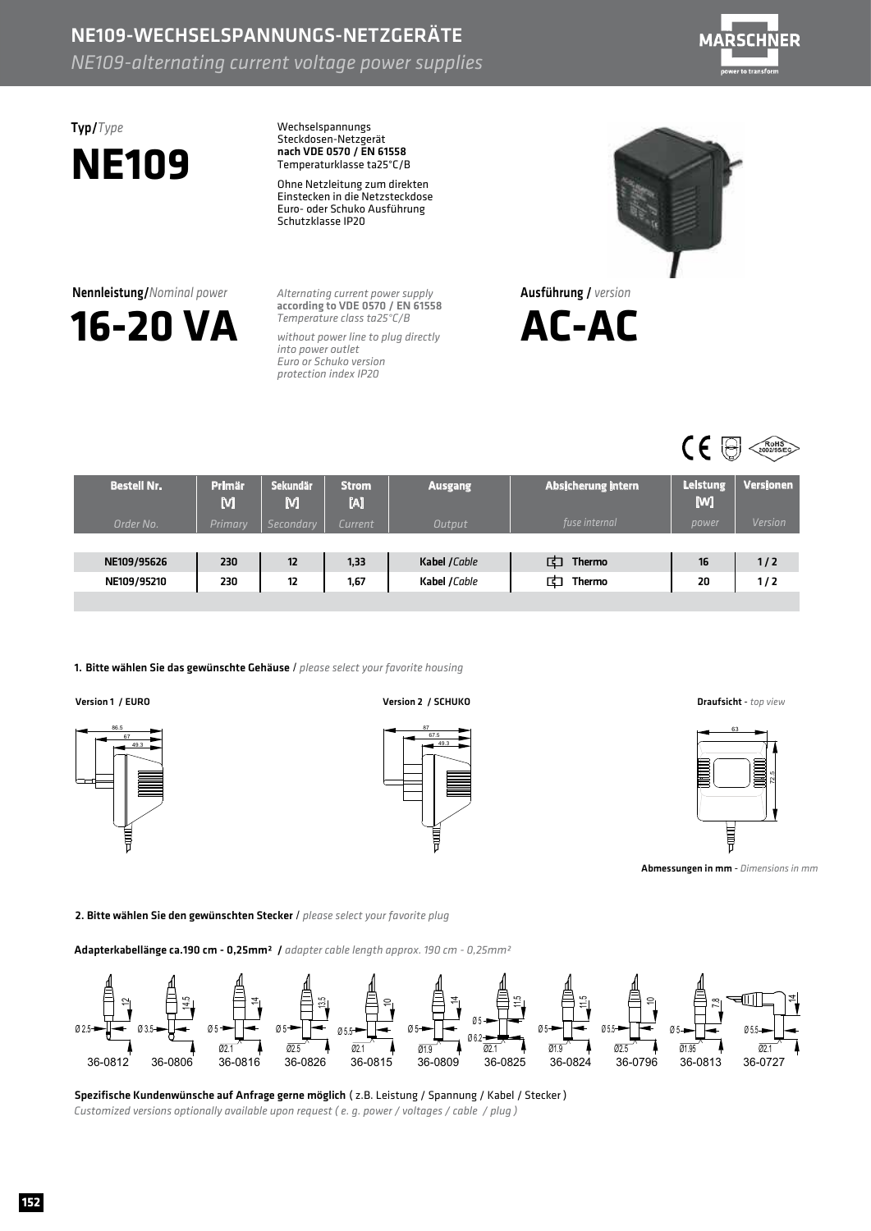### NE109-WECHSELSPANNUNGS-NETZGERÄTE *NE109-alternating current voltage power supplies*



## Typ/*Type* **NE109**

Nennleistung/*Nominalpower*

**16-20VA**

Wechselspannungs Steckdosen-Netzgerät Temperaturklasse ta25°C/B nach VDE 0570 / EN 61558

Ohne Netzleitung zum direkten Einstecken in die Netzsteckdose Euro- oder Schuko Ausführung Schutzklasse IP20

*Alternating current power supply Temperatureclassta25°C/B* according to VDE 0570 / EN 61558

without power line to plug directly *into power outlet EuroorSchukoversion protectionindexIP20*



Ausführung/ *version*





| <b>Bestell Nr.</b> | <b>Primär</b><br>M | Sekundär<br>M    | <b>Strom</b><br>M | <b>Ausgang</b> | Absicherung intern | <b>Leistung</b><br>[W] | <b>Versionen</b> |
|--------------------|--------------------|------------------|-------------------|----------------|--------------------|------------------------|------------------|
| Order No.          | Primary            | <b>Secondary</b> | Current           | Output         | fuse internal      | power                  | <b>Version</b>   |
|                    |                    |                  |                   |                |                    |                        |                  |
| NE109/95626        | 230                | 12               | 1,33              | Kabel /Cable   | दा<br>Thermo       | 16                     | 1/2              |
| NE109/95210        | 230                | 12               | 1,67              | Kabel / Cable  | ਜ<br><b>Thermo</b> | 20                     | 1/2              |
|                    |                    |                  |                   |                |                    |                        |                  |

#### 1. Bitte wählen Sie das gewünschte Gehäuse / please select your favorite housing



Version1/EURO Version2/SCHUKO Draufsicht - *topview*







Abmessungeninmm - *Dimensionsinmm*

2. Bitte wählen Sie den gewünschten Stecker / please select your favorite plug

Adapterkabellänge ca.190 cm - 0,25mm<sup>2</sup> / *adapter cable length approx.190 cm - 0,25mm<sup>2</sup>* 



Spezifische Kundenwünsche auf Anfrage gerne möglich (z.B. Leistung / Spannung / Kabel / Stecker) Customized versions optionally available upon request (e. g. power / voltages / cable / plug)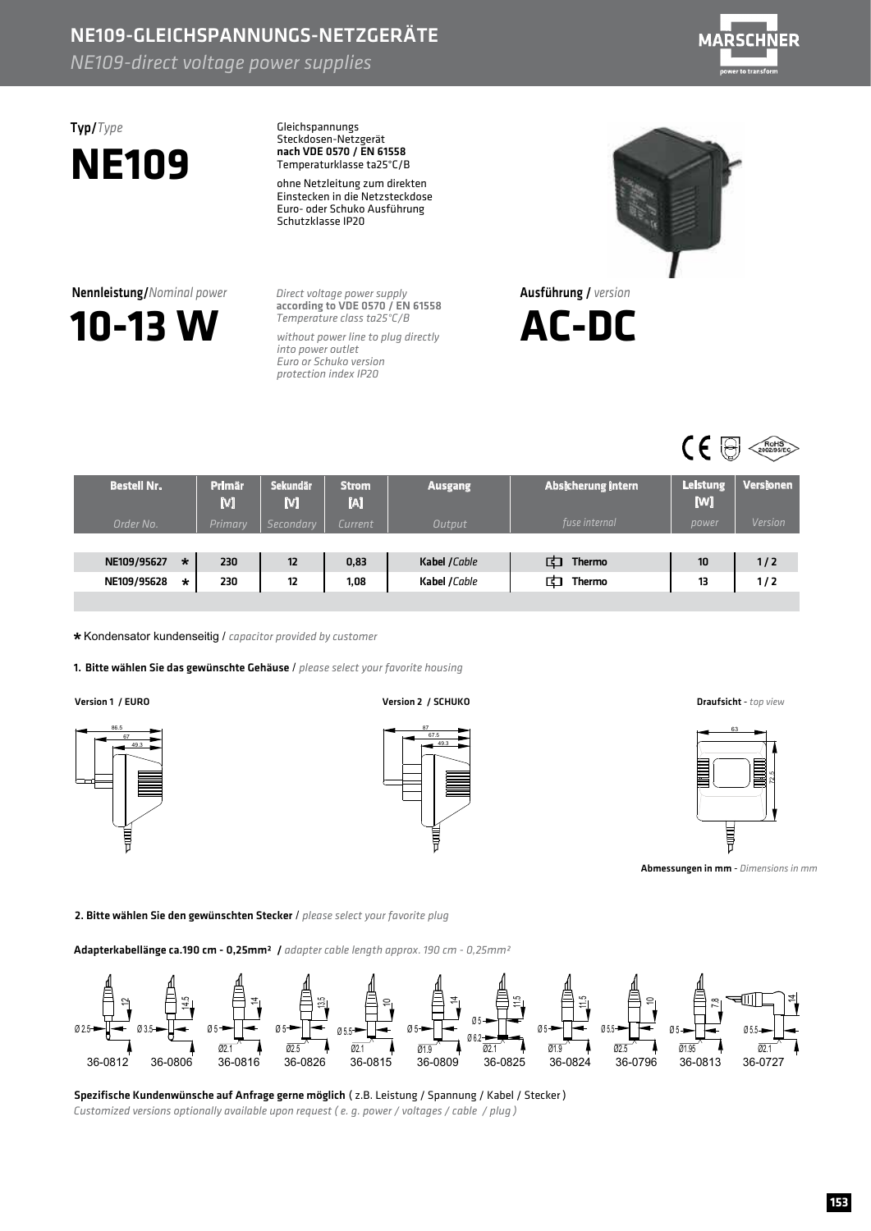## NE109-GLEICHSPANNUNGS-NETZGERÄTE

*NE109-direct voltage power supplies* 



# **NE109**

**10-13W**

**Nennleistung/***Nominal power* 

Typ/*Type* Gleichspannungs Steckdosen-Netzgerät Temperaturklasse ta25°C/B nach VDE 0570 / EN 61558

> ohne Netzleitung zum direkten Einstecken in die Netzsteckdose Euro- oder Schuko Ausführung Schutzklasse IP20

**Direct voltage power supply** *Temperatureclassta25°C/B* according to VDE 0570 / EN 61558

without power line to plug directly *into power outlet* **Euro or Schuko version** *protectionindexIP20*



Ausführung/ *version*





| <b>Bestell Nr.</b> |         | <b>Primär</b><br>M | <b>Sekundär</b><br>M | <b>Strom</b><br>M | <b>Ausgang</b> | Absicherung intern | <b>Leistung</b><br>[W] | Versionen      |
|--------------------|---------|--------------------|----------------------|-------------------|----------------|--------------------|------------------------|----------------|
| Order No.          |         | Primary            | Secondary            | Current .         | <b>Output</b>  | fuse internal      | power                  | <b>Version</b> |
|                    |         |                    |                      |                   |                |                    |                        |                |
| NE109/95627        | $\star$ | 230                | 12                   | 0,83              | Kabel / Cable  | द<br><b>Thermo</b> | 10                     | 1/2            |
| NE109/95628        | *       | 230                | 12                   | 1,08              | Kabel /Cable   | 口<br>Thermo        | 13                     | 1 / 2          |
|                    |         |                    |                      |                   |                |                    |                        |                |

\* Kondensator kundenseitig / capacitor provided by customer

1. Bitte wählen Sie das gewünschte Gehäuse / please select your favorite housing



Version1/EURO Version2/SCHUKO Draufsicht - *topview*







Abmessungeninmm - *Dimensionsinmm*

2. Bitte wählen Sie den gewünschten Stecker / please select your favorite plug

Adapterkabellänge ca.190 cm - 0,25mm<sup>2</sup> / *adapter cable length approx.190 cm - 0,25mm<sup>2</sup>* 



Spezifische Kundenwünsche auf Anfrage gerne möglich (z.B. Leistung / Spannung / Kabel / Stecker) *Customized versions optionally available upon request (e.g. power / voltages / cable / plug)*